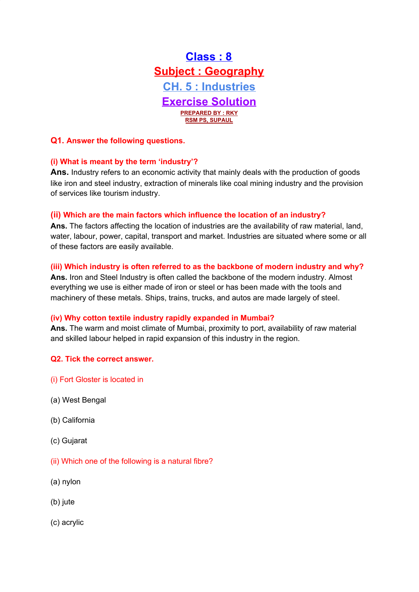

## **Q1. Answer the following questions.**

#### **(i) What is meant by the term 'industry'?**

Ans. Industry refers to an economic activity that mainly deals with the production of goods like iron and steel industry, extraction of minerals like coal mining industry and the provision of services like tourism industry.

#### **(ii) Which are the main factors which influence the location of an industry?**

**Ans.** The factors affecting the location of industries are the availability of raw material, land, water, labour, power, capital, transport and market. Industries are situated where some or all of these factors are easily available.

#### **(iii) Which industry is often referred to as the backbone of modern industry and why?**

**Ans.** Iron and Steel Industry is often called the backbone of the modern industry. Almost everything we use is either made of iron or steel or has been made with the tools and machinery of these metals. Ships, trains, trucks, and autos are made largely of steel.

#### **(iv) Why cotton textile industry rapidly expanded in Mumbai?**

**Ans.** The warm and moist climate of Mumbai, proximity to port, availability of raw material and skilled labour helped in rapid expansion of this industry in the region.

#### **Q2. Tick the correct answer.**

- (i) Fort Gloster is located in
- (a) West Bengal
- (b) California
- (c) Gujarat
- (ii) Which one of the following is a natural fibre?
- (a) nylon
- (b) jute
- (c) acrylic